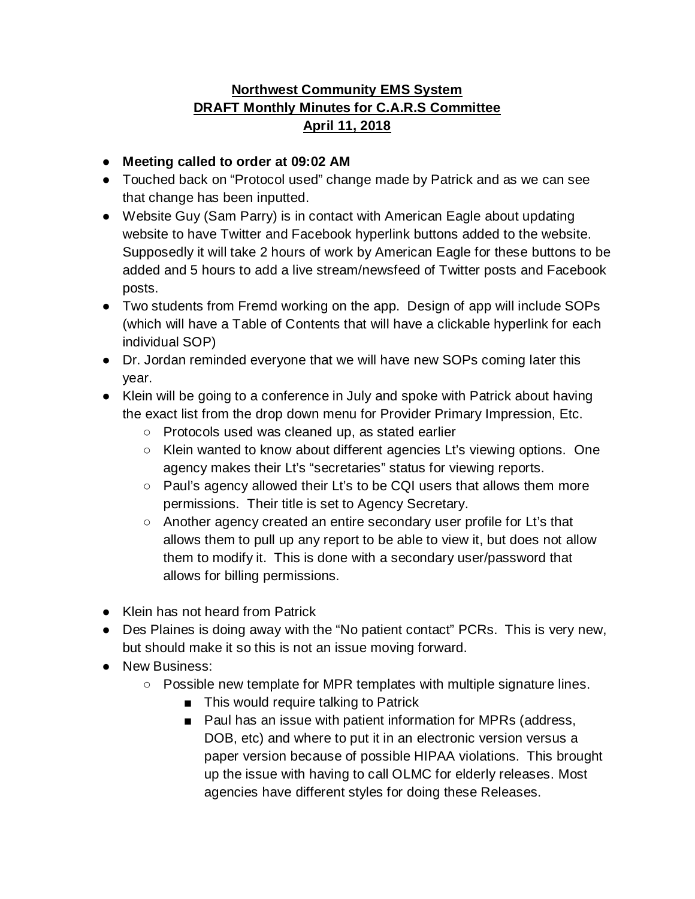## **Northwest Community EMS System DRAFT Monthly Minutes for C.A.R.S Committee April 11, 2018**

- **Meeting called to order at 09:02 AM**
- Touched back on "Protocol used" change made by Patrick and as we can see that change has been inputted.
- Website Guy (Sam Parry) is in contact with American Eagle about updating website to have Twitter and Facebook hyperlink buttons added to the website. Supposedly it will take 2 hours of work by American Eagle for these buttons to be added and 5 hours to add a live stream/newsfeed of Twitter posts and Facebook posts.
- Two students from Fremd working on the app. Design of app will include SOPs (which will have a Table of Contents that will have a clickable hyperlink for each individual SOP)
- Dr. Jordan reminded everyone that we will have new SOPs coming later this year.
- Klein will be going to a conference in July and spoke with Patrick about having the exact list from the drop down menu for Provider Primary Impression, Etc.
	- Protocols used was cleaned up, as stated earlier
	- Klein wanted to know about different agencies Lt's viewing options. One agency makes their Lt's "secretaries" status for viewing reports.
	- Paul's agency allowed their Lt's to be CQI users that allows them more permissions. Their title is set to Agency Secretary.
	- Another agency created an entire secondary user profile for Lt's that allows them to pull up any report to be able to view it, but does not allow them to modify it. This is done with a secondary user/password that allows for billing permissions.
- Klein has not heard from Patrick
- Des Plaines is doing away with the "No patient contact" PCRs. This is very new, but should make it so this is not an issue moving forward.
- New Business:
	- Possible new template for MPR templates with multiple signature lines.
		- This would require talking to Patrick
		- Paul has an issue with patient information for MPRs (address, DOB, etc) and where to put it in an electronic version versus a paper version because of possible HIPAA violations. This brought up the issue with having to call OLMC for elderly releases. Most agencies have different styles for doing these Releases.